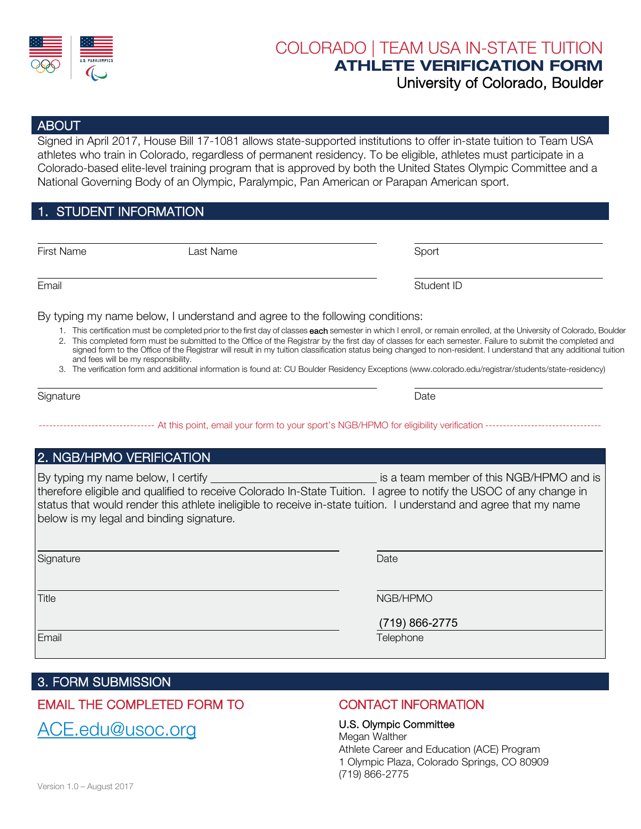

# COLORADO | TEAM USA IN-STATE TUITION ATHLETE VERIFICATION FORM

### University of Colorado, Boulder

#### ABOUT

Signed in April 2017, House Bill 17-1081 allows state-supported institutions to offer in-state tuition to Team USA athletes who train in Colorado, regardless of permanent residency. To be eligible, athletes must participate in a Colorado-based elite-level training program that is approved by both the United States Olympic Committee and a National Governing Body of an Olympic, Paralympic, Pan American or Parapan American sport.

#### 1. STUDENT INFORMATION

First Name Last Name Sport

Email Student ID

By typing my name below, I understand and agree to the following conditions:

- 1. This certification must be completed prior to the first day of classes each semester in which I enroll, or remain enrolled, at the University of Colorado, Boulder
- 2. This completed form must be submitted to the Office of the Registrar by the first day of classes for each semester. Failure to submit the completed and signed form to the Office of the Registrar will result in my tuition classification status being changed to non-resident. I understand that any additional tuition and fees will be my responsibility.
- 3. The verification form and additional information is found at: CU Boulder Residency Exceptions [\(www.colorado.edu/registrar/students/state-residency\)](www.colorado.edu/registrar/students/state-residency)

| Signature | Date |
|-----------|------|
|-----------|------|

-- At this point, email your form to your sport's NGB/HPMO for eligibility verification ------

#### 2. NGB/HPMO VERIFICATION

By typing my name below, I certify it is a team member of this NGB/HPMO and is therefore eligible and qualified to receive Colorado In-State Tuition. I agree to notify the USOC of any change in status that would render this athlete ineligible to receive in-state tuition. I understand and agree that my name below is my legal and binding signature.

| Date |
|------|
|      |

Title NGB/HPMO

(719) 866-2775

**Email Email According to the Contract of Contract According to the Contract Oriental According to the Contract** 

#### 3. FORM SUBMISSION

#### EMAIL THE COMPLETED FORM TO

[ACE.edu@usoc.org](mailto:ACE.edu@usoc.org?subject=Colorado%20In-State%20Tuition%20-%20Athlete%20Verification%20Form) 

#### CONTACT INFORMATION

U.S. Olympic Committee Megan Walther Athlete Career and Education (ACE) Program 1 Olympic Plaza, Colorado Springs, CO 80909 (719) 866-2775